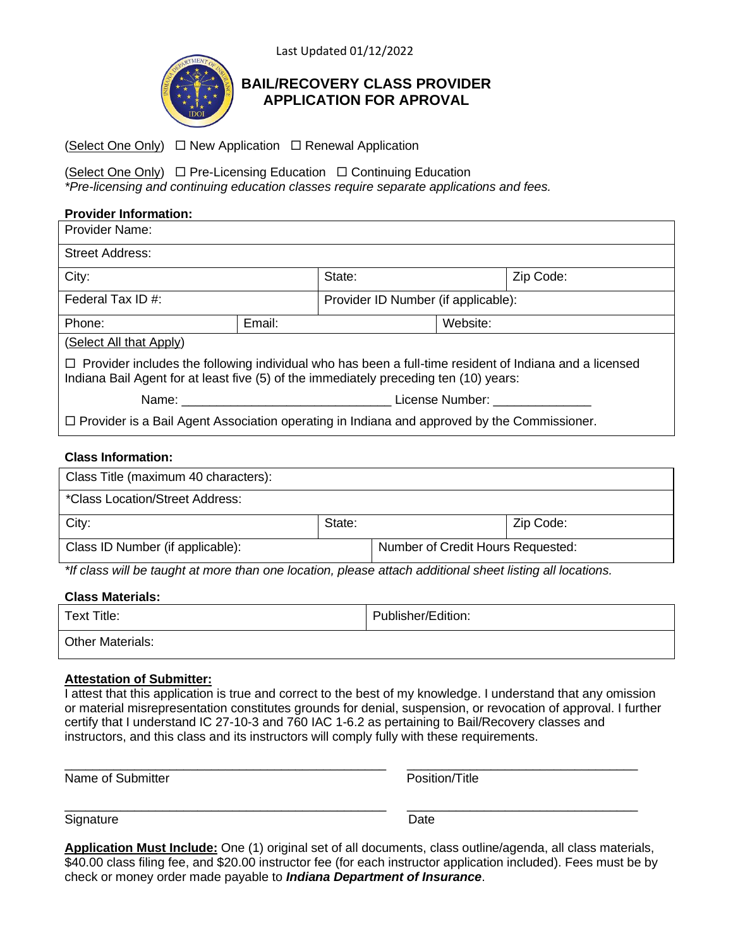Last Updated 01/12/2022



# **BAIL/RECOVERY CLASS PROVIDER APPLICATION FOR APROVAL**

(Select One Only)  $\Box$  New Application  $\Box$  Renewal Application

(Select One Only)  $\Box$  Pre-Licensing Education  $\Box$  Continuing Education *\*Pre-licensing and continuing education classes require separate applications and fees.*

# **Provider Information:**

| <b>Provider Name:</b>                                                                                                                                                                                  |        |                                     |          |           |  |
|--------------------------------------------------------------------------------------------------------------------------------------------------------------------------------------------------------|--------|-------------------------------------|----------|-----------|--|
| <b>Street Address:</b>                                                                                                                                                                                 |        |                                     |          |           |  |
| City:                                                                                                                                                                                                  |        | State:                              |          | Zip Code: |  |
| Federal Tax ID #:                                                                                                                                                                                      |        | Provider ID Number (if applicable): |          |           |  |
| Phone:                                                                                                                                                                                                 | Email: |                                     | Website: |           |  |
| (Select All that Apply)                                                                                                                                                                                |        |                                     |          |           |  |
| $\Box$ Provider includes the following individual who has been a full-time resident of Indiana and a licensed<br>Indiana Bail Agent for at least five (5) of the immediately preceding ten (10) years: |        |                                     |          |           |  |
|                                                                                                                                                                                                        |        | License Number:                     |          |           |  |
| $\Box$ Provider is a Bail Agent Association operating in Indiana and approved by the Commissioner.                                                                                                     |        |                                     |          |           |  |
|                                                                                                                                                                                                        |        |                                     |          |           |  |

# **Class Information:**

| Class Title (maximum 40 characters): |        |                                   |           |  |  |
|--------------------------------------|--------|-----------------------------------|-----------|--|--|
| *Class Location/Street Address:      |        |                                   |           |  |  |
| City:                                | State: |                                   | Zip Code: |  |  |
| Class ID Number (if applicable):     |        | Number of Credit Hours Requested: |           |  |  |

*\*If class will be taught at more than one location, please attach additional sheet listing all locations.*

### **Class Materials:**

| Text Title:             | Publisher/Edition: |
|-------------------------|--------------------|
| <b>Other Materials:</b> |                    |

### **Attestation of Submitter:**

I attest that this application is true and correct to the best of my knowledge. I understand that any omission or material misrepresentation constitutes grounds for denial, suspension, or revocation of approval. I further certify that I understand IC 27-10-3 and 760 IAC 1-6.2 as pertaining to Bail/Recovery classes and instructors, and this class and its instructors will comply fully with these requirements.

| Name of Submitter | Position/Title |
|-------------------|----------------|

Signature Date **Date** 

**Application Must Include:** One (1) original set of all documents, class outline/agenda, all class materials, \$40.00 class filing fee, and \$20.00 instructor fee (for each instructor application included). Fees must be by check or money order made payable to *Indiana Department of Insurance*.

 $\_$  ,  $\_$  ,  $\_$  ,  $\_$  ,  $\_$  ,  $\_$  ,  $\_$  ,  $\_$  ,  $\_$  ,  $\_$  ,  $\_$  ,  $\_$  ,  $\_$  ,  $\_$  ,  $\_$  ,  $\_$  ,  $\_$  ,  $\_$  ,  $\_$  ,  $\_$  ,  $\_$  ,  $\_$  ,  $\_$  ,  $\_$  ,  $\_$  ,  $\_$  ,  $\_$  ,  $\_$  ,  $\_$  ,  $\_$  ,  $\_$  ,  $\_$  ,  $\_$  ,  $\_$  ,  $\_$  ,  $\_$  ,  $\_$  ,